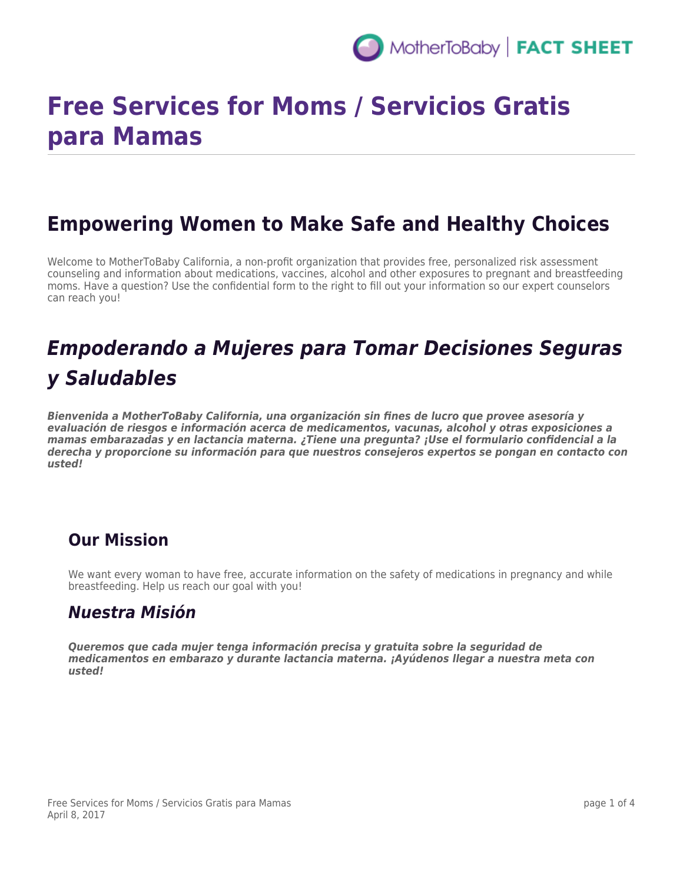

# **Free Services for Moms / Servicios Gratis para Mamas**

### **Empowering Women to Make Safe and Healthy Choices**

Welcome to MotherToBaby California, a non-profit organization that provides free, personalized risk assessment counseling and information about medications, vaccines, alcohol and other exposures to pregnant and breastfeeding moms. Have a question? Use the confidential form to the right to fill out your information so our expert counselors can reach you!

## *Empoderando a Mujeres para Tomar Decisiones Seguras y Saludables*

*Bienvenida a MotherToBaby California, una organización sin fines de lucro que provee asesoría y evaluación de riesgos e información acerca de medicamentos, vacunas, alcohol y otras exposiciones a mamas embarazadas y en lactancia materna. ¿Tiene una pregunta? ¡Use el formulario confidencial a la derecha y proporcione su información para que nuestros consejeros expertos se pongan en contacto con usted!*

#### **Our Mission**

We want every woman to have free, accurate information on the safety of medications in pregnancy and while breastfeeding. Help us reach our goal with you!

#### *Nuestra Misión*

*Queremos que cada mujer tenga información precisa y gratuita sobre la seguridad de medicamentos en embarazo y durante lactancia materna. ¡Ayúdenos llegar a nuestra meta con usted!*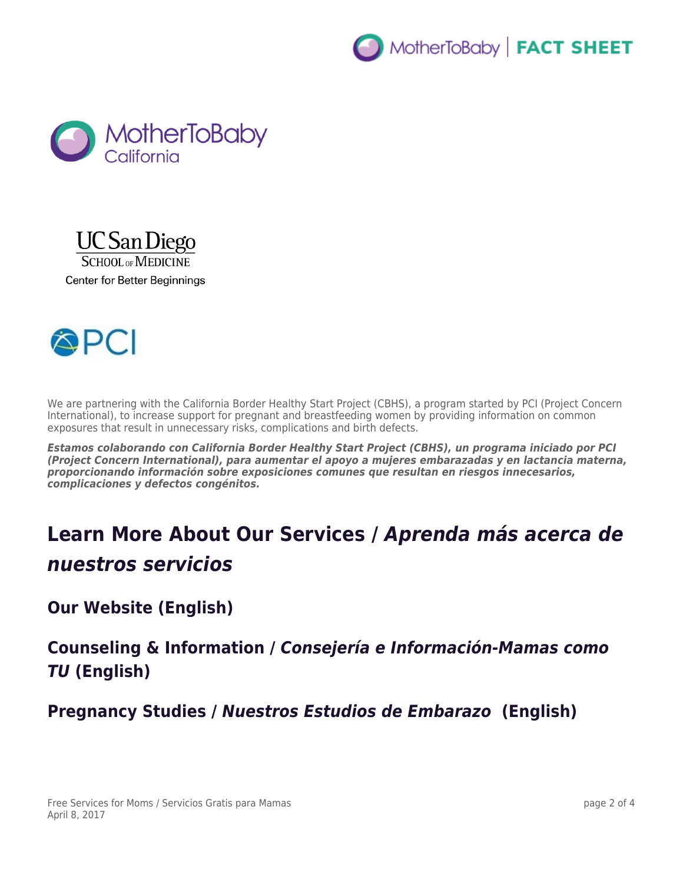







We are partnering with the California Border Healthy Start Project (CBHS), a program started by PCI (Project Concern International), to increase support for pregnant and breastfeeding women by providing information on common exposures that result in unnecessary risks, complications and birth defects.

*Estamos colaborando con California Border Healthy Start Project (CBHS), un programa iniciado por PCI (Project Concern International), para aumentar el apoyo a mujeres embarazadas y en lactancia materna, proporcionando información sobre exposiciones comunes que resultan en riesgos innecesarios, complicaciones y defectos congénitos.*

## **Learn More About Our Services /** *Aprenda más acerca de nuestros servicios*

**Our Website (English)**

**Counseling & Information /** *Consejería e Información-Mamas como TU* **(English)**

**Pregnancy Studies /** *Nuestros Estudios de Embarazo* **(English)**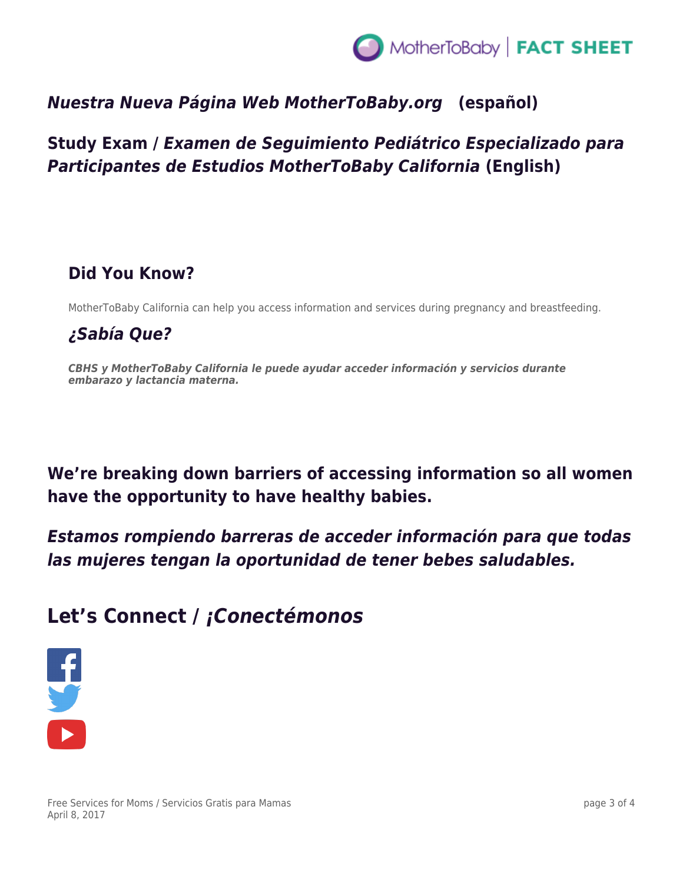

#### *Nuestra Nueva Página Web MotherToBaby.org* **(español)**

#### **Study Exam /** *Examen de Seguimiento Pediátrico Especializado para Participantes de Estudios MotherToBaby California* **(English)**

#### **Did You Know?**

MotherToBaby California can help you access information and services during pregnancy and breastfeeding.

#### *¿Sabía Que?*

*CBHS y MotherToBaby California le puede ayudar acceder información y servicios durante embarazo y lactancia materna.*

**We're breaking down barriers of accessing information so all women have the opportunity to have healthy babies.**

*Estamos rompiendo barreras de acceder información para que todas las mujeres tengan la oportunidad de tener bebes saludables.*

### **Let's Connect /** *¡Conectémonos*